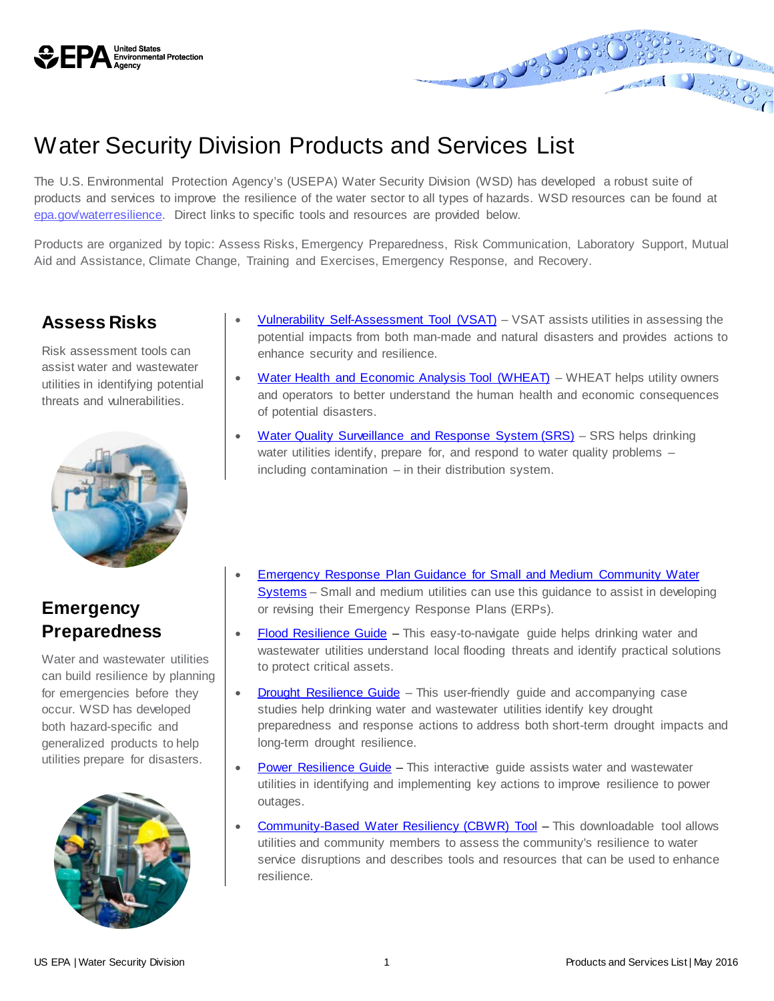

# Water Security Division Products and Services List

The U.S. Environmental Protection Agency's (USEPA) Water Security Division (WSD) has developed a robust suite of products and services to improve the resilience of the water sector to all types of hazards. WSD resources can be found at [epa.gov/waterresilience.](https://www.epa.gov/waterresilience) Direct links to specific tools and resources are provided below.

Products are organized by topic: Assess Risks, Emergency Preparedness, Risk Communication, Laboratory Support, Mutual Aid and Assistance, Climate Change, Training and Exercises, Emergency Response, and Recovery.

#### **Assess Risks**

Risk assessment tools can assist water and wastewater utilities in identifying potential threats and vulnerabilities.



### **Emergency Preparedness**

Water and wastewater utilities can build resilience by planning for emergencies before they occur. WSD has developed both hazard-specific and generalized products to help utilities prepare for disasters.



[Vulnerability Self-Assessment Tool \(VSAT\)](https://www.epa.gov/waterriskassessment/conduct-drinking-water-or-wastewater-utility-risk-assessment) - VSAT assists utilities in assessing the potential impacts from both man-made and natural disasters and provides actions to enhance security and resilience.

- [Water Health and Economic Analysis Tool \(WHEAT\)](https://www.epa.gov/waterriskassessment/find-out-about-health-and-economic-impacts-water-utility-emergencies) WHEAT helps utility owners and operators to better understand the human health and economic consequences of potential disasters.
- [Water Quality Surveillance and Response System \(SRS\)](https://www.epa.gov/waterqualitysurveillance) SRS helps drinking water utilities identify, prepare for, and respond to water quality problems including contamination – in their distribution system.
- [Emergency Response Plan Guidance for Small and Medium Community Water](https://www.epa.gov/waterutilityresponse/emergency-response-plan-guidance-small-and-medium-community-water-systems)  [Systems](https://www.epa.gov/waterutilityresponse/emergency-response-plan-guidance-small-and-medium-community-water-systems) – Small and medium utilities can use this guidance to assist in developing or revising their Emergency Response Plans (ERPs).
- [Flood Resilience Guide](https://www.epa.gov/waterutilityresponse/flood-resilience-basic-guide-water-and-wastewater-utilities) This easy-to-navigate guide helps drinking water and wastewater utilities understand local flooding threats and identify practical solutions to protect critical assets.
- [Drought Resilience Guide](https://www.epa.gov/waterutilityresponse/drought-response-and-recovery-guide-water-utilities) This user-friendly guide and accompanying case studies help drinking water and wastewater utilities identify key drought preparedness and response actions to address both short-term drought impacts and long-term drought resilience.
- [Power Resilience Guide](https://www.epa.gov/communitywaterresilience/power-resilience-guide-water-and-wastewater-utilities) This interactive guide assists water and wastewater utilities in identifying and implementing key actions to improve resilience to power outages.
- [Community-Based Water Resiliency \(CBWR\) Tool](https://www.epa.gov/communitywaterresilience/community-based-water-resiliency-tool) This downloadable tool allows utilities and community members to assess the community's resilience to water service disruptions and describes tools and resources that can be used to enhance resilience.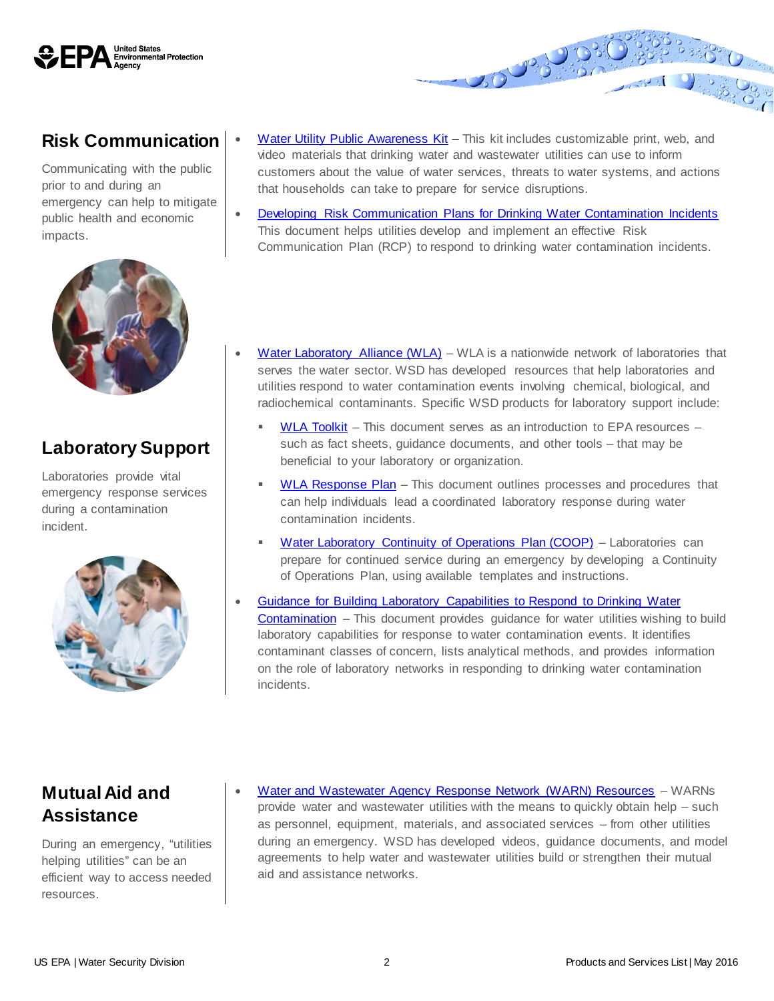

#### **Risk Communication**

Communicating with the public prior to and during an emergency can help to mitigate public health and economic impacts.



### **Laboratory Support**

Laboratories provide vital emergency response services during a contamination incident.



[Water Utility Public Awareness Kit](https://www.epa.gov/communitywaterresilience/water-utility-public-awareness-kit) - This kit includes customizable print, web, and video materials that drinking water and wastewater utilities can use to inform customers about the value of water services, threats to water systems, and actions that households can take to prepare for service disruptions.

**BOOK** 

- [Developing Risk Communication Plans for Drinking Water Contamination Incidents](https://www.epa.gov/waterqualitysurveillance/consequence-management-resources) This document helps utilities develop and implement an effective Risk Communication Plan (RCP) to respond to drinking water contamination incidents.
- [Water Laboratory Alliance \(WLA\)](https://www.epa.gov/waterlabnetwork) WLA is a nationwide network of laboratories that serves the water sector. WSD has developed resources that help laboratories and utilities respond to water contamination events involving chemical, biological, and radiochemical contaminants. Specific WSD products for laboratory support include:
	- [WLA Toolkit](https://www.epa.gov/waterlabnetwork/water-laboratory-alliance-tool-kit) This document serves as an introduction to EPA resources such as fact sheets, guidance documents, and other tools – that may be beneficial to your laboratory or organization.
	- [WLA Response Plan](https://www.epa.gov/waterlabnetwork/water-laboratory-alliance-response-plan) This document outlines processes and procedures that can help individuals lead a coordinated laboratory response during water contamination incidents.
	- [Water Laboratory Continuity of Operations Plan \(COOP\)](https://www.epa.gov/waterlabnetwork/create-continuity-operations-plan-your-water-laboratory) Laboratories can prepare for continued service during an emergency by developing a Continuity of Operations Plan, using available templates and instructions.
- [Guidance for Building Laboratory Capabilities to Respond to Drinking Water](https://www.epa.gov/waterqualitysurveillance/sampling-and-analysis-resources)  [Contamination](https://www.epa.gov/waterqualitysurveillance/sampling-and-analysis-resources) – This document provides guidance for water utilities wishing to build laboratory capabilities for response to water contamination events. It identifies contaminant classes of concern, lists analytical methods, and provides information on the role of laboratory networks in responding to drinking water contamination incidents.

### **Mutual Aid and Assistance**

During an emergency, "utilities helping utilities" can be an efficient way to access needed resources.

• [Water and Wastewater Agency Response Network \(WARN\) Resources](https://www.epa.gov/waterutilityresponse/mutual-aid-and-assistance-drinking-water-and-wastewater-utilities) – WARNs provide water and wastewater utilities with the means to quickly obtain help – such as personnel, equipment, materials, and associated services – from other utilities during an emergency. WSD has developed videos, guidance documents, and model agreements to help water and wastewater utilities build or strengthen their mutual aid and assistance networks.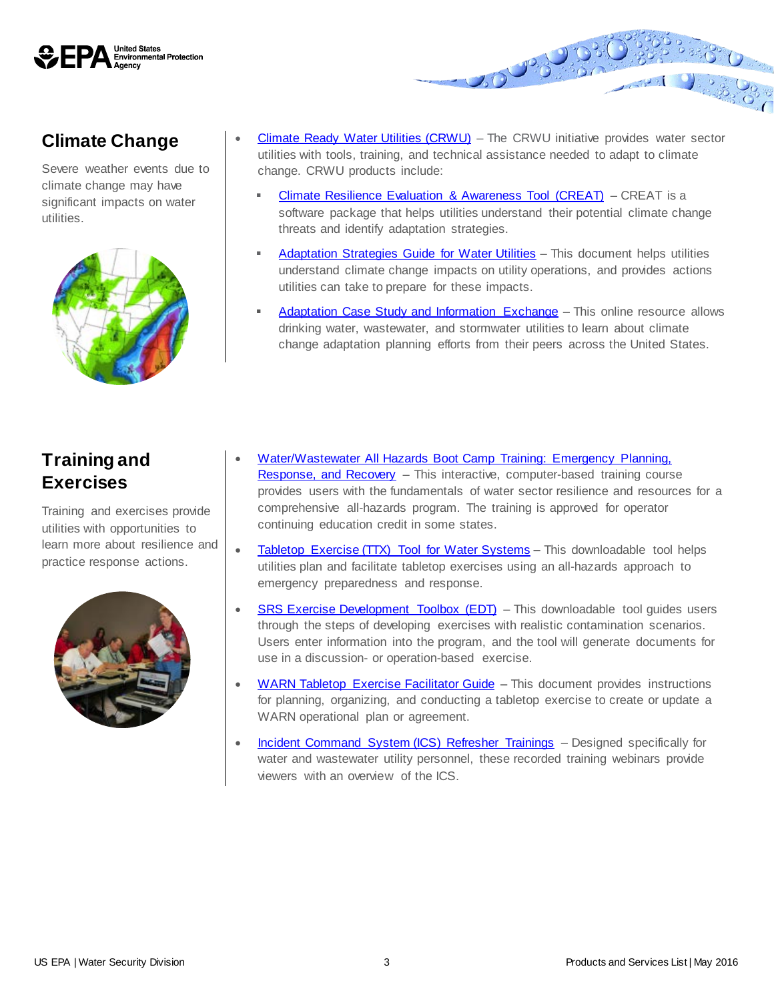

## **Climate Change**

Severe weather events due to climate change may have significant impacts on water utilities.



[Climate Ready Water Utilities \(CRWU\)](https://www.epa.gov/crwu) – The CRWU initiative provides water sector utilities with tools, training, and technical assistance needed to adapt to climate change. CRWU products include:

20 P.O.

- [Climate Resilience Evaluation & Awareness Tool \(CREAT\)](https://www.epa.gov/crwu/assess-water-utility-climate-risks-climate-resilience-evaluation-and-awareness-tool) CREAT is a software package that helps utilities understand their potential climate change threats and identify adaptation strategies.
- [Adaptation Strategies Guide for Water Utilities](https://www.epa.gov/crwu/learn-how-plan-climate-change-adaptation-strategies-guide-water-utilities) This document helps utilities understand climate change impacts on utility operations, and provides actions utilities can take to prepare for these impacts.
- [Adaptation Case Study and Information Exchange](http://epa.maps.arcgis.com/apps/MapSeries/index.html?appid=eaf23847432145518272d5f3bb1f0806) This online resource allows drinking water, wastewater, and stormwater utilities to learn about climate change adaptation planning efforts from their peers across the United States.

# **Training and Exercises**

Training and exercises provide utilities with opportunities to learn more about resilience and practice response actions.



- [Water/Wastewater All Hazards Boot Camp Training: Emergency Planning,](https://www.epa.gov/waterresiliencetraining/waterwastewater-utility-all-hazards-bootcamp-training)  [Response, and Recovery](https://www.epa.gov/waterresiliencetraining/waterwastewater-utility-all-hazards-bootcamp-training) – This interactive, computer-based training course provides users with the fundamentals of water sector resilience and resources for a comprehensive all-hazards program. The training is approved for operator continuing education credit in some states.
- [Tabletop Exercise \(TTX\) Tool for Water Systems](https://www.epa.gov/waterresiliencetraining/develop-and-conduct-water-resilience-tabletop-exercise-water-utilities) This downloadable tool helps utilities plan and facilitate tabletop exercises using an all-hazards approach to emergency preparedness and response.
- [SRS Exercise Development Toolbox \(EDT\)](https://www.epa.gov/waterqualitysurveillance/water-quality-surveillance-and-response-system-exercise-development-toolbox) This downloadable tool guides users through the steps of developing exercises with realistic contamination scenarios. Users enter information into the program, and the tool will generate documents for use in a discussion- or operation-based exercise.
- [WARN Tabletop Exercise Facilitator Guide](https://www.epa.gov/waterutilityresponse/water-and-wastewater-agency-response-networks-warn-exercise-facilitator-guide) This document provides instructions for planning, organizing, and conducting a tabletop exercise to create or update a WARN operational plan or agreement.
- [Incident Command System \(ICS\) Refresher Trainings](https://www.epa.gov/waterresiliencetraining/emergency-management-training-water-and-wastewater-utilities) Designed specifically for water and wastewater utility personnel, these recorded training webinars provide viewers with an overview of the ICS.